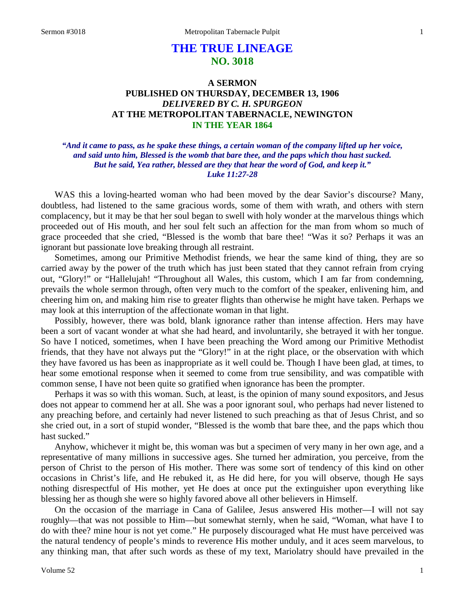# **THE TRUE LINEAGE NO. 3018**

# **A SERMON PUBLISHED ON THURSDAY, DECEMBER 13, 1906** *DELIVERED BY C. H. SPURGEON* **AT THE METROPOLITAN TABERNACLE, NEWINGTON IN THE YEAR 1864**

#### *"And it came to pass, as he spake these things, a certain woman of the company lifted up her voice, and said unto him, Blessed is the womb that bare thee, and the paps which thou hast sucked. But he said, Yea rather, blessed are they that hear the word of God, and keep it." Luke 11:27-28*

WAS this a loving-hearted woman who had been moved by the dear Savior's discourse? Many, doubtless, had listened to the same gracious words, some of them with wrath, and others with stern complacency, but it may be that her soul began to swell with holy wonder at the marvelous things which proceeded out of His mouth, and her soul felt such an affection for the man from whom so much of grace proceeded that she cried, "Blessed is the womb that bare thee! "Was it so? Perhaps it was an ignorant but passionate love breaking through all restraint.

Sometimes, among our Primitive Methodist friends, we hear the same kind of thing, they are so carried away by the power of the truth which has just been stated that they cannot refrain from crying out, "Glory!" or "Hallelujah! "Throughout all Wales, this custom, which I am far from condemning, prevails the whole sermon through, often very much to the comfort of the speaker, enlivening him, and cheering him on, and making him rise to greater flights than otherwise he might have taken. Perhaps we may look at this interruption of the affectionate woman in that light.

Possibly, however, there was bold, blank ignorance rather than intense affection. Hers may have been a sort of vacant wonder at what she had heard, and involuntarily, she betrayed it with her tongue. So have I noticed, sometimes, when I have been preaching the Word among our Primitive Methodist friends, that they have not always put the "Glory!" in at the right place, or the observation with which they have favored us has been as inappropriate as it well could be. Though I have been glad, at times, to hear some emotional response when it seemed to come from true sensibility, and was compatible with common sense, I have not been quite so gratified when ignorance has been the prompter.

Perhaps it was so with this woman. Such, at least, is the opinion of many sound expositors, and Jesus does not appear to commend her at all. She was a poor ignorant soul, who perhaps had never listened to any preaching before, and certainly had never listened to such preaching as that of Jesus Christ, and so she cried out, in a sort of stupid wonder, "Blessed is the womb that bare thee, and the paps which thou hast sucked."

Anyhow, whichever it might be, this woman was but a specimen of very many in her own age, and a representative of many millions in successive ages. She turned her admiration, you perceive, from the person of Christ to the person of His mother. There was some sort of tendency of this kind on other occasions in Christ's life, and He rebuked it, as He did here, for you will observe, though He says nothing disrespectful of His mother, yet He does at once put the extinguisher upon everything like blessing her as though she were so highly favored above all other believers in Himself.

On the occasion of the marriage in Cana of Galilee, Jesus answered His mother—I will not say roughly—that was not possible to Him—but somewhat sternly, when he said, "Woman, what have I to do with thee? mine hour is not yet come." He purposely discouraged what He must have perceived was the natural tendency of people's minds to reverence His mother unduly, and it aces seem marvelous, to any thinking man, that after such words as these of my text, Mariolatry should have prevailed in the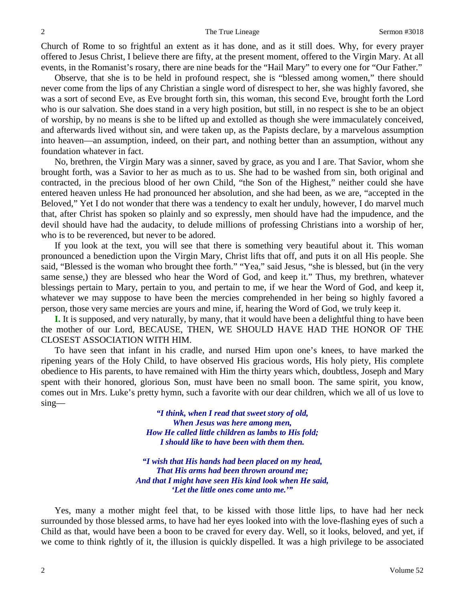Church of Rome to so frightful an extent as it has done, and as it still does. Why, for every prayer offered to Jesus Christ, I believe there are fifty, at the present moment, offered to the Virgin Mary. At all events, in the Romanist's rosary, there are nine beads for the "Hail Mary" to every one for "Our Father."

Observe, that she is to be held in profound respect, she is "blessed among women," there should never come from the lips of any Christian a single word of disrespect to her, she was highly favored, she was a sort of second Eve, as Eve brought forth sin, this woman, this second Eve, brought forth the Lord who is our salvation. She does stand in a very high position, but still, in no respect is she to be an object of worship, by no means is she to be lifted up and extolled as though she were immaculately conceived, and afterwards lived without sin, and were taken up, as the Papists declare, by a marvelous assumption into heaven—an assumption, indeed, on their part, and nothing better than an assumption, without any foundation whatever in fact.

No, brethren, the Virgin Mary was a sinner, saved by grace, as you and I are. That Savior, whom she brought forth, was a Savior to her as much as to us. She had to be washed from sin, both original and contracted, in the precious blood of her own Child, "the Son of the Highest," neither could she have entered heaven unless He had pronounced her absolution, and she had been, as we are, "accepted in the Beloved," Yet I do not wonder that there was a tendency to exalt her unduly, however, I do marvel much that, after Christ has spoken so plainly and so expressly, men should have had the impudence, and the devil should have had the audacity, to delude millions of professing Christians into a worship of her, who is to be reverenced, but never to be adored.

If you look at the text, you will see that there is something very beautiful about it. This woman pronounced a benediction upon the Virgin Mary, Christ lifts that off, and puts it on all His people. She said, "Blessed is the woman who brought thee forth." "Yea," said Jesus, "she is blessed, but (in the very same sense,) they are blessed who hear the Word of God, and keep it." Thus, my brethren, whatever blessings pertain to Mary, pertain to you, and pertain to me, if we hear the Word of God, and keep it, whatever we may suppose to have been the mercies comprehended in her being so highly favored a person, those very same mercies are yours and mine, if, hearing the Word of God, we truly keep it.

**I.** It is supposed, and very naturally, by many, that it would have been a delightful thing to have been the mother of our Lord, BECAUSE, THEN, WE SHOULD HAVE HAD THE HONOR OF THE CLOSEST ASSOCIATION WITH HIM.

To have seen that infant in his cradle, and nursed Him upon one's knees, to have marked the ripening years of the Holy Child, to have observed His gracious words, His holy piety, His complete obedience to His parents, to have remained with Him the thirty years which, doubtless, Joseph and Mary spent with their honored, glorious Son, must have been no small boon. The same spirit, you know, comes out in Mrs. Luke's pretty hymn, such a favorite with our dear children, which we all of us love to sing—

> *"I think, when I read that sweet story of old, When Jesus was here among men, How He called little children as lambs to His fold; I should like to have been with them then.*

*"I wish that His hands had been placed on my head, That His arms had been thrown around me; And that I might have seen His kind look when He said, 'Let the little ones come unto me.'"*

Yes, many a mother might feel that, to be kissed with those little lips, to have had her neck surrounded by those blessed arms, to have had her eyes looked into with the love-flashing eyes of such a Child as that, would have been a boon to be craved for every day. Well, so it looks, beloved, and yet, if we come to think rightly of it, the illusion is quickly dispelled. It was a high privilege to be associated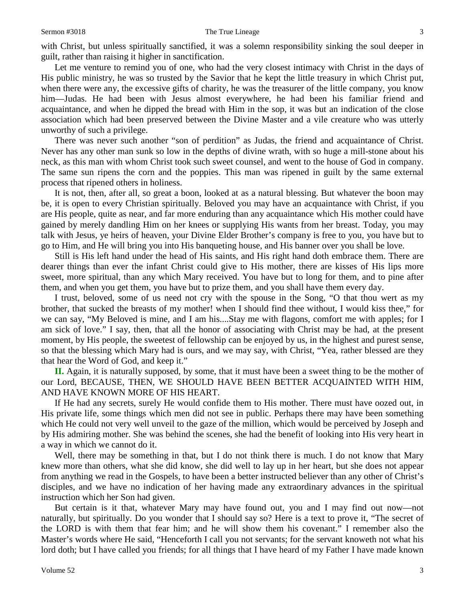with Christ, but unless spiritually sanctified, it was a solemn responsibility sinking the soul deeper in guilt, rather than raising it higher in sanctification.

Let me venture to remind you of one, who had the very closest intimacy with Christ in the days of His public ministry, he was so trusted by the Savior that he kept the little treasury in which Christ put, when there were any, the excessive gifts of charity, he was the treasurer of the little company, you know him—Judas. He had been with Jesus almost everywhere, he had been his familiar friend and acquaintance, and when he dipped the bread with Him in the sop, it was but an indication of the close association which had been preserved between the Divine Master and a vile creature who was utterly unworthy of such a privilege.

There was never such another "son of perdition" as Judas, the friend and acquaintance of Christ. Never has any other man sunk so low in the depths of divine wrath, with so huge a mill-stone about his neck, as this man with whom Christ took such sweet counsel, and went to the house of God in company. The same sun ripens the corn and the poppies. This man was ripened in guilt by the same external process that ripened others in holiness.

It is not, then, after all, so great a boon, looked at as a natural blessing. But whatever the boon may be, it is open to every Christian spiritually. Beloved you may have an acquaintance with Christ, if you are His people, quite as near, and far more enduring than any acquaintance which His mother could have gained by merely dandling Him on her knees or supplying His wants from her breast. Today, you may talk with Jesus, ye heirs of heaven, your Divine Elder Brother's company is free to you, you have but to go to Him, and He will bring you into His banqueting house, and His banner over you shall be love.

Still is His left hand under the head of His saints, and His right hand doth embrace them. There are dearer things than ever the infant Christ could give to His mother, there are kisses of His lips more sweet, more spiritual, than any which Mary received. You have but to long for them, and to pine after them, and when you get them, you have but to prize them, and you shall have them every day.

I trust, beloved, some of us need not cry with the spouse in the Song, "O that thou wert as my brother, that sucked the breasts of my mother! when I should find thee without, I would kiss thee," for we can say, "My Beloved is mine, and I am his....Stay me with flagons, comfort me with apples; for I am sick of love." I say, then, that all the honor of associating with Christ may be had, at the present moment, by His people, the sweetest of fellowship can be enjoyed by us, in the highest and purest sense, so that the blessing which Mary had is ours, and we may say, with Christ, "Yea, rather blessed are they that hear the Word of God, and keep it."

**II.** Again, it is naturally supposed, by some, that it must have been a sweet thing to be the mother of our Lord, BECAUSE, THEN, WE SHOULD HAVE BEEN BETTER ACQUAINTED WITH HIM, AND HAVE KNOWN MORE OF HIS HEART.

If He had any secrets, surely He would confide them to His mother. There must have oozed out, in His private life, some things which men did not see in public. Perhaps there may have been something which He could not very well unveil to the gaze of the million, which would be perceived by Joseph and by His admiring mother. She was behind the scenes, she had the benefit of looking into His very heart in a way in which we cannot do it.

Well, there may be something in that, but I do not think there is much. I do not know that Mary knew more than others, what she did know, she did well to lay up in her heart, but she does not appear from anything we read in the Gospels, to have been a better instructed believer than any other of Christ's disciples, and we have no indication of her having made any extraordinary advances in the spiritual instruction which her Son had given.

But certain is it that, whatever Mary may have found out, you and I may find out now—not naturally, but spiritually. Do you wonder that I should say so? Here is a text to prove it, "The secret of the LORD is with them that fear him; and he will show them his covenant." I remember also the Master's words where He said, "Henceforth I call you not servants; for the servant knoweth not what his lord doth; but I have called you friends; for all things that I have heard of my Father I have made known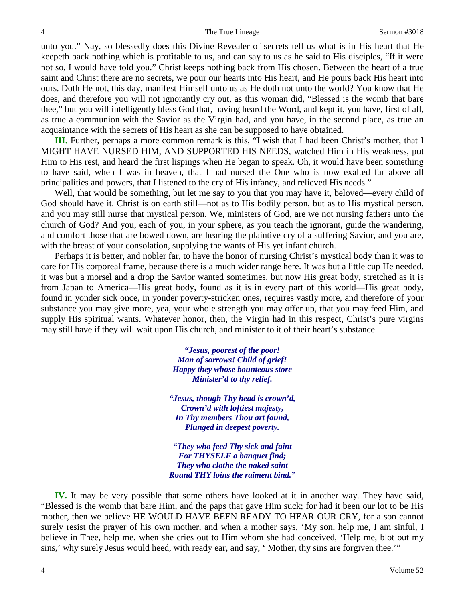unto you." Nay, so blessedly does this Divine Revealer of secrets tell us what is in His heart that He keepeth back nothing which is profitable to us, and can say to us as he said to His disciples, "If it were not so, I would have told you." Christ keeps nothing back from His chosen. Between the heart of a true saint and Christ there are no secrets, we pour our hearts into His heart, and He pours back His heart into ours. Doth He not, this day, manifest Himself unto us as He doth not unto the world? You know that He does, and therefore you will not ignorantly cry out, as this woman did, "Blessed is the womb that bare thee," but you will intelligently bless God that, having heard the Word, and kept it, you have, first of all, as true a communion with the Savior as the Virgin had, and you have, in the second place, as true an acquaintance with the secrets of His heart as she can be supposed to have obtained.

**III.** Further, perhaps a more common remark is this, "I wish that I had been Christ's mother, that I MIGHT HAVE NURSED HIM, AND SUPPORTED HIS NEEDS, watched Him in His weakness, put Him to His rest, and heard the first lispings when He began to speak. Oh, it would have been something to have said, when I was in heaven, that I had nursed the One who is now exalted far above all principalities and powers, that I listened to the cry of His infancy, and relieved His needs."

Well, that would be something, but let me say to you that you may have it, beloved—every child of God should have it. Christ is on earth still—not as to His bodily person, but as to His mystical person, and you may still nurse that mystical person. We, ministers of God, are we not nursing fathers unto the church of God? And you, each of you, in your sphere, as you teach the ignorant, guide the wandering, and comfort those that are bowed down, are hearing the plaintive cry of a suffering Savior, and you are, with the breast of your consolation, supplying the wants of His yet infant church.

Perhaps it is better, and nobler far, to have the honor of nursing Christ's mystical body than it was to care for His corporeal frame, because there is a much wider range here. It was but a little cup He needed, it was but a morsel and a drop the Savior wanted sometimes, but now His great body, stretched as it is from Japan to America—His great body, found as it is in every part of this world—His great body, found in yonder sick once, in yonder poverty-stricken ones, requires vastly more, and therefore of your substance you may give more, yea, your whole strength you may offer up, that you may feed Him, and supply His spiritual wants. Whatever honor, then, the Virgin had in this respect, Christ's pure virgins may still have if they will wait upon His church, and minister to it of their heart's substance.

> *"Jesus, poorest of the poor! Man of sorrows! Child of grief! Happy they whose bounteous store Minister'd to thy relief.*

*"Jesus, though Thy head is crown'd, Crown'd with loftiest majesty, In Thy members Thou art found, Plunged in deepest poverty.*

*"They who feed Thy sick and faint For THYSELF a banquet find; They who clothe the naked saint Round THY loins the raiment bind."*

**IV.** It may be very possible that some others have looked at it in another way. They have said, "Blessed is the womb that bare Him, and the paps that gave Him suck; for had it been our lot to be His mother, then we believe HE WOULD HAVE BEEN READY TO HEAR OUR CRY, for a son cannot surely resist the prayer of his own mother, and when a mother says, 'My son, help me, I am sinful, I believe in Thee, help me, when she cries out to Him whom she had conceived, 'Help me, blot out my sins,' why surely Jesus would heed, with ready ear, and say, ' Mother, thy sins are forgiven thee.'"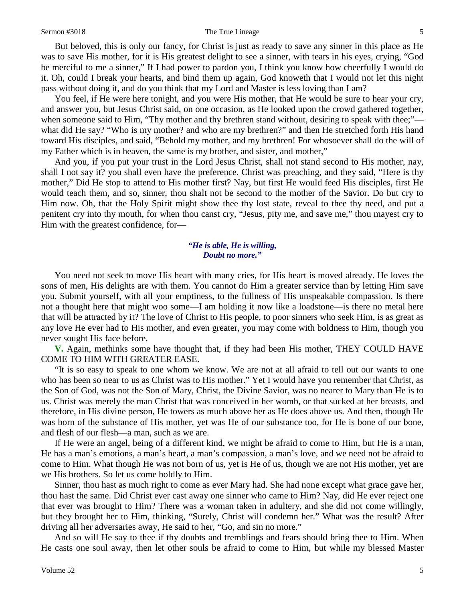#### Sermon #3018 5

But beloved, this is only our fancy, for Christ is just as ready to save any sinner in this place as He was to save His mother, for it is His greatest delight to see a sinner, with tears in his eyes, crying, "God be merciful to me a sinner," If I had power to pardon you, I think you know how cheerfully I would do it. Oh, could I break your hearts, and bind them up again, God knoweth that I would not let this night pass without doing it, and do you think that my Lord and Master is less loving than I am?

You feel, if He were here tonight, and you were His mother, that He would be sure to hear your cry, and answer you, but Jesus Christ said, on one occasion, as He looked upon the crowd gathered together, when someone said to Him, "Thy mother and thy brethren stand without, desiring to speak with thee;" what did He say? "Who is my mother? and who are my brethren?" and then He stretched forth His hand toward His disciples, and said, "Behold my mother, and my brethren! For whosoever shall do the will of my Father which is in heaven, the same is my brother, and sister, and mother,"

And you, if you put your trust in the Lord Jesus Christ, shall not stand second to His mother, nay, shall I not say it? you shall even have the preference. Christ was preaching, and they said, "Here is thy mother," Did He stop to attend to His mother first? Nay, but first He would feed His disciples, first He would teach them, and so, sinner, thou shalt not be second to the mother of the Savior. Do but cry to Him now. Oh, that the Holy Spirit might show thee thy lost state, reveal to thee thy need, and put a penitent cry into thy mouth, for when thou canst cry, "Jesus, pity me, and save me," thou mayest cry to Him with the greatest confidence, for—

#### *"He is able, He is willing, Doubt no more."*

You need not seek to move His heart with many cries, for His heart is moved already. He loves the sons of men, His delights are with them. You cannot do Him a greater service than by letting Him save you. Submit yourself, with all your emptiness, to the fullness of His unspeakable compassion. Is there not a thought here that might woo some—I am holding it now like a loadstone—is there no metal here that will be attracted by it? The love of Christ to His people, to poor sinners who seek Him, is as great as any love He ever had to His mother, and even greater, you may come with boldness to Him, though you never sought His face before.

**V.** Again, methinks some have thought that, if they had been His mother, THEY COULD HAVE COME TO HIM WITH GREATER EASE.

"It is so easy to speak to one whom we know. We are not at all afraid to tell out our wants to one who has been so near to us as Christ was to His mother." Yet I would have you remember that Christ, as the Son of God, was not the Son of Mary, Christ, the Divine Savior, was no nearer to Mary than He is to us. Christ was merely the man Christ that was conceived in her womb, or that sucked at her breasts, and therefore, in His divine person, He towers as much above her as He does above us. And then, though He was born of the substance of His mother, yet was He of our substance too, for He is bone of our bone, and flesh of our flesh—a man, such as we are.

If He were an angel, being of a different kind, we might be afraid to come to Him, but He is a man, He has a man's emotions, a man's heart, a man's compassion, a man's love, and we need not be afraid to come to Him. What though He was not born of us, yet is He of us, though we are not His mother, yet are we His brothers. So let us come boldly to Him.

Sinner, thou hast as much right to come as ever Mary had. She had none except what grace gave her, thou hast the same. Did Christ ever cast away one sinner who came to Him? Nay, did He ever reject one that ever was brought to Him? There was a woman taken in adultery, and she did not come willingly, but they brought her to Him, thinking, "Surely, Christ will condemn her." What was the result? After driving all her adversaries away, He said to her, "Go, and sin no more."

And so will He say to thee if thy doubts and tremblings and fears should bring thee to Him. When He casts one soul away, then let other souls be afraid to come to Him, but while my blessed Master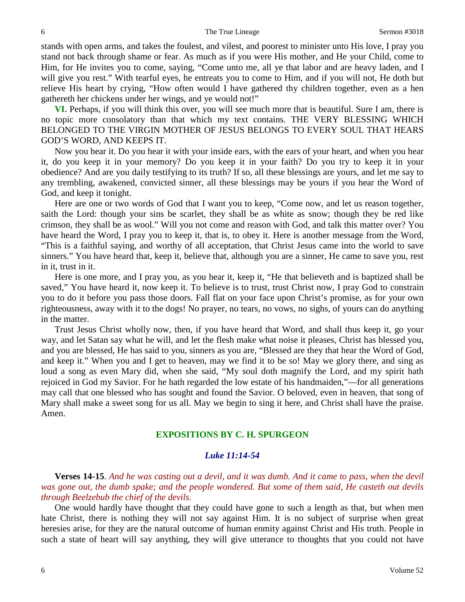stands with open arms, and takes the foulest, and vilest, and poorest to minister unto His love, I pray you stand not back through shame or fear. As much as if you were His mother, and He your Child, come to Him, for He invites you to come, saying, "Come unto me, all ye that labor and are heavy laden, and I will give you rest." With tearful eyes, he entreats you to come to Him, and if you will not, He doth but relieve His heart by crying, "How often would I have gathered thy children together, even as a hen gathereth her chickens under her wings, and ye would not!"

**VI.** Perhaps, if you will think this over, you will see much more that is beautiful. Sure I am, there is no topic more consolatory than that which my text contains. THE VERY BLESSING WHICH BELONGED TO THE VIRGIN MOTHER OF JESUS BELONGS TO EVERY SOUL THAT HEARS GOD'S WORD, AND KEEPS IT.

Now you hear it. Do you hear it with your inside ears, with the ears of your heart, and when you hear it, do you keep it in your memory? Do you keep it in your faith? Do you try to keep it in your obedience? And are you daily testifying to its truth? If so, all these blessings are yours, and let me say to any trembling, awakened, convicted sinner, all these blessings may be yours if you hear the Word of God, and keep it tonight.

Here are one or two words of God that I want you to keep, "Come now, and let us reason together, saith the Lord: though your sins be scarlet, they shall be as white as snow; though they be red like crimson, they shall be as wool." Will you not come and reason with God, and talk this matter over? You have heard the Word, I pray you to keep it, that is, to obey it. Here is another message from the Word, "This is a faithful saying, and worthy of all acceptation, that Christ Jesus came into the world to save sinners." You have heard that, keep it, believe that, although you are a sinner, He came to save you, rest in it, trust in it.

Here is one more, and I pray you, as you hear it, keep it, "He that believeth and is baptized shall be saved," You have heard it, now keep it. To believe is to trust, trust Christ now, I pray God to constrain you to do it before you pass those doors. Fall flat on your face upon Christ's promise, as for your own righteousness, away with it to the dogs! No prayer, no tears, no vows, no sighs, of yours can do anything in the matter.

Trust Jesus Christ wholly now, then, if you have heard that Word, and shall thus keep it, go your way, and let Satan say what he will, and let the flesh make what noise it pleases, Christ has blessed you, and you are blessed, He has said to you, sinners as you are, "Blessed are they that hear the Word of God, and keep it." When you and I get to heaven, may we find it to be so! May we glory there, and sing as loud a song as even Mary did, when she said, "My soul doth magnify the Lord, and my spirit hath rejoiced in God my Savior. For he hath regarded the low estate of his handmaiden,"—for all generations may call that one blessed who has sought and found the Savior. O beloved, even in heaven, that song of Mary shall make a sweet song for us all. May we begin to sing it here, and Christ shall have the praise. Amen.

#### **EXPOSITIONS BY C. H. SPURGEON**

#### *Luke 11:14-54*

**Verses 14-15**. *And he was casting out a devil, and it was dumb. And it came to pass, when the devil was gone out, the dumb spake; and the people wondered. But some of them said, He casteth out devils through Beelzebub the chief of the devils.*

One would hardly have thought that they could have gone to such a length as that, but when men hate Christ, there is nothing they will not say against Him. It is no subject of surprise when great heresies arise, for they are the natural outcome of human enmity against Christ and His truth. People in such a state of heart will say anything, they will give utterance to thoughts that you could not have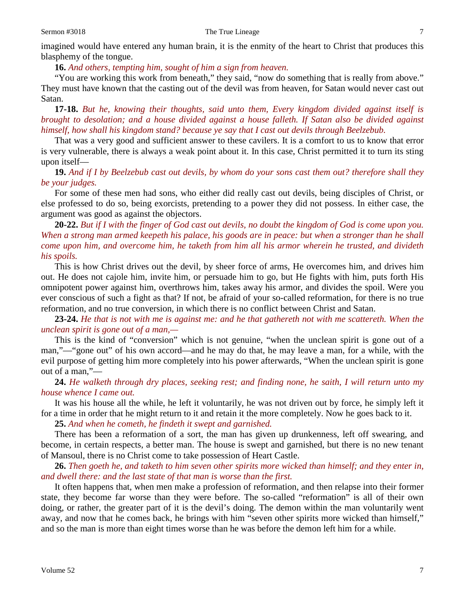#### Sermon #3018 The True Lineage 7

imagined would have entered any human brain, it is the enmity of the heart to Christ that produces this blasphemy of the tongue.

**16.** *And others, tempting him, sought of him a sign from heaven.*

"You are working this work from beneath," they said, "now do something that is really from above." They must have known that the casting out of the devil was from heaven, for Satan would never cast out Satan.

**17-18.** *But he, knowing their thoughts, said unto them, Every kingdom divided against itself is brought to desolation; and a house divided against a house falleth. If Satan also be divided against himself, how shall his kingdom stand? because ye say that I cast out devils through Beelzebub.*

That was a very good and sufficient answer to these cavilers. It is a comfort to us to know that error is very vulnerable, there is always a weak point about it. In this case, Christ permitted it to turn its sting upon itself—

**19.** *And if I by Beelzebub cast out devils, by whom do your sons cast them out? therefore shall they be your judges.*

For some of these men had sons, who either did really cast out devils, being disciples of Christ, or else professed to do so, being exorcists, pretending to a power they did not possess. In either case, the argument was good as against the objectors.

**20-22.** *But if I with the finger of God cast out devils, no doubt the kingdom of God is come upon you. When a strong man armed keepeth his palace, his goods are in peace: but when a stronger than he shall come upon him, and overcome him, he taketh from him all his armor wherein he trusted, and divideth his spoils.*

This is how Christ drives out the devil, by sheer force of arms, He overcomes him, and drives him out. He does not cajole him, invite him, or persuade him to go, but He fights with him, puts forth His omnipotent power against him, overthrows him, takes away his armor, and divides the spoil. Were you ever conscious of such a fight as that? If not, be afraid of your so-called reformation, for there is no true reformation, and no true conversion, in which there is no conflict between Christ and Satan.

**23-24.** *He that is not with me is against me: and he that gathereth not with me scattereth. When the unclean spirit is gone out of a man,—*

This is the kind of "conversion" which is not genuine, "when the unclean spirit is gone out of a man,"—"gone out" of his own accord—and he may do that, he may leave a man, for a while, with the evil purpose of getting him more completely into his power afterwards, "When the unclean spirit is gone out of a man,"—

**24.** *He walketh through dry places, seeking rest; and finding none, he saith, I will return unto my house whence I came out.*

It was his house all the while, he left it voluntarily, he was not driven out by force, he simply left it for a time in order that he might return to it and retain it the more completely. Now he goes back to it.

**25.** *And when he cometh, he findeth it swept and garnished.*

There has been a reformation of a sort, the man has given up drunkenness, left off swearing, and become, in certain respects, a better man. The house is swept and garnished, but there is no new tenant of Mansoul, there is no Christ come to take possession of Heart Castle.

**26.** *Then goeth he, and taketh to him seven other spirits more wicked than himself; and they enter in, and dwell there: and the last state of that man is worse than the first.*

It often happens that, when men make a profession of reformation, and then relapse into their former state, they become far worse than they were before. The so-called "reformation" is all of their own doing, or rather, the greater part of it is the devil's doing. The demon within the man voluntarily went away, and now that he comes back, he brings with him "seven other spirits more wicked than himself," and so the man is more than eight times worse than he was before the demon left him for a while.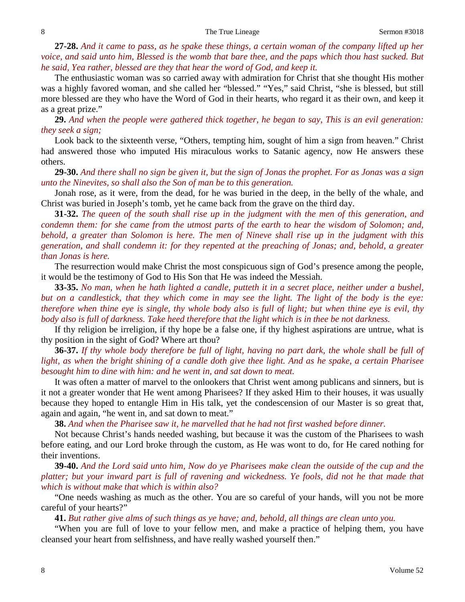**27-28.** *And it came to pass, as he spake these things, a certain woman of the company lifted up her voice, and said unto him, Blessed is the womb that bare thee, and the paps which thou hast sucked. But he said, Yea rather, blessed are they that hear the word of God, and keep it.*

The enthusiastic woman was so carried away with admiration for Christ that she thought His mother was a highly favored woman, and she called her "blessed." "Yes," said Christ, "she is blessed, but still more blessed are they who have the Word of God in their hearts, who regard it as their own, and keep it as a great prize."

**29.** *And when the people were gathered thick together, he began to say, This is an evil generation: they seek a sign;*

Look back to the sixteenth verse, "Others, tempting him, sought of him a sign from heaven." Christ had answered those who imputed His miraculous works to Satanic agency, now He answers these others.

**29-30.** *And there shall no sign be given it, but the sign of Jonas the prophet. For as Jonas was a sign unto the Ninevites, so shall also the Son of man be to this generation.*

Jonah rose, as it were, from the dead, for he was buried in the deep, in the belly of the whale, and Christ was buried in Joseph's tomb, yet he came back from the grave on the third day.

**31-32.** *The queen of the south shall rise up in the judgment with the men of this generation, and condemn them: for she came from the utmost parts of the earth to hear the wisdom of Solomon; and, behold, a greater than Solomon is here. The men of Nineve shall rise up in the judgment with this generation, and shall condemn it: for they repented at the preaching of Jonas; and, behold, a greater than Jonas is here.*

The resurrection would make Christ the most conspicuous sign of God's presence among the people, it would be the testimony of God to His Son that He was indeed the Messiah.

**33-35.** *No man, when he hath lighted a candle, putteth it in a secret place, neither under a bushel, but on a candlestick, that they which come in may see the light. The light of the body is the eye: therefore when thine eye is single, thy whole body also is full of light; but when thine eye is evil, thy body also is full of darkness. Take heed therefore that the light which is in thee be not darkness.*

If thy religion be irreligion, if thy hope be a false one, if thy highest aspirations are untrue, what is thy position in the sight of God? Where art thou?

**36-37.** *If thy whole body therefore be full of light, having no part dark, the whole shall be full of light, as when the bright shining of a candle doth give thee light. And as he spake, a certain Pharisee besought him to dine with him: and he went in, and sat down to meat.*

It was often a matter of marvel to the onlookers that Christ went among publicans and sinners, but is it not a greater wonder that He went among Pharisees? If they asked Him to their houses, it was usually because they hoped to entangle Him in His talk, yet the condescension of our Master is so great that, again and again, "he went in, and sat down to meat."

**38.** *And when the Pharisee saw it, he marvelled that he had not first washed before dinner.*

Not because Christ's hands needed washing, but because it was the custom of the Pharisees to wash before eating, and our Lord broke through the custom, as He was wont to do, for He cared nothing for their inventions.

**39-40.** *And the Lord said unto him, Now do ye Pharisees make clean the outside of the cup and the platter; but your inward part is full of ravening and wickedness. Ye fools, did not he that made that which is without make that which is within also?*

"One needs washing as much as the other. You are so careful of your hands, will you not be more careful of your hearts?"

**41.** *But rather give alms of such things as ye have; and, behold, all things are clean unto you.*

"When you are full of love to your fellow men, and make a practice of helping them, you have cleansed your heart from selfishness, and have really washed yourself then."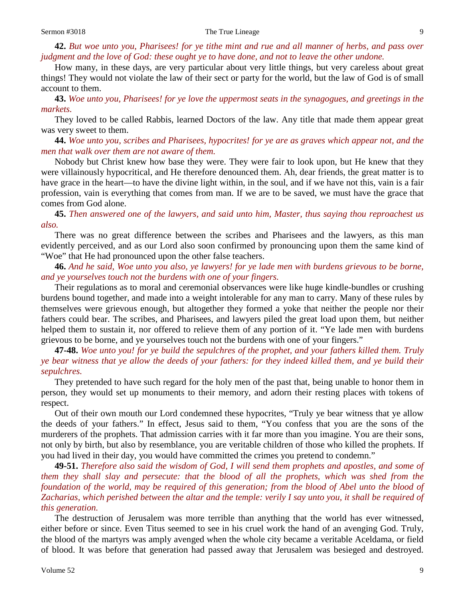# **42.** *But woe unto you, Pharisees! for ye tithe mint and rue and all manner of herbs, and pass over judgment and the love of God: these ought ye to have done, and not to leave the other undone.*

How many, in these days, are very particular about very little things, but very careless about great things! They would not violate the law of their sect or party for the world, but the law of God is of small account to them.

**43.** *Woe unto you, Pharisees! for ye love the uppermost seats in the synagogues, and greetings in the markets.*

They loved to be called Rabbis, learned Doctors of the law. Any title that made them appear great was very sweet to them.

**44.** *Woe unto you, scribes and Pharisees, hypocrites! for ye are as graves which appear not, and the men that walk over them are not aware of them.*

Nobody but Christ knew how base they were. They were fair to look upon, but He knew that they were villainously hypocritical, and He therefore denounced them. Ah, dear friends, the great matter is to have grace in the heart—to have the divine light within, in the soul, and if we have not this, vain is a fair profession, vain is everything that comes from man. If we are to be saved, we must have the grace that comes from God alone.

**45.** *Then answered one of the lawyers, and said unto him, Master, thus saying thou reproachest us also.*

There was no great difference between the scribes and Pharisees and the lawyers, as this man evidently perceived, and as our Lord also soon confirmed by pronouncing upon them the same kind of "Woe" that He had pronounced upon the other false teachers.

**46.** *And he said, Woe unto you also, ye lawyers! for ye lade men with burdens grievous to be borne, and ye yourselves touch not the burdens with one of your fingers.*

Their regulations as to moral and ceremonial observances were like huge kindle-bundles or crushing burdens bound together, and made into a weight intolerable for any man to carry. Many of these rules by themselves were grievous enough, but altogether they formed a yoke that neither the people nor their fathers could bear. The scribes, and Pharisees, and lawyers piled the great load upon them, but neither helped them to sustain it, nor offered to relieve them of any portion of it. "Ye lade men with burdens grievous to be borne, and ye yourselves touch not the burdens with one of your fingers."

# **47-48.** *Woe unto you! for ye build the sepulchres of the prophet, and your fathers killed them. Truly ye bear witness that ye allow the deeds of your fathers: for they indeed killed them, and ye build their sepulchres.*

They pretended to have such regard for the holy men of the past that, being unable to honor them in person, they would set up monuments to their memory, and adorn their resting places with tokens of respect.

Out of their own mouth our Lord condemned these hypocrites, "Truly ye bear witness that ye allow the deeds of your fathers." In effect, Jesus said to them, "You confess that you are the sons of the murderers of the prophets. That admission carries with it far more than you imagine. You are their sons, not only by birth, but also by resemblance, you are veritable children of those who killed the prophets. If you had lived in their day, you would have committed the crimes you pretend to condemn."

**49-51.** *Therefore also said the wisdom of God, I will send them prophets and apostles, and some of them they shall slay and persecute: that the blood of all the prophets, which was shed from the*  foundation of the world, may be required of this generation; from the blood of Abel unto the blood of *Zacharias, which perished between the altar and the temple: verily I say unto you, it shall be required of this generation.*

The destruction of Jerusalem was more terrible than anything that the world has ever witnessed, either before or since. Even Titus seemed to see in his cruel work the hand of an avenging God. Truly, the blood of the martyrs was amply avenged when the whole city became a veritable Aceldama, or field of blood. It was before that generation had passed away that Jerusalem was besieged and destroyed.